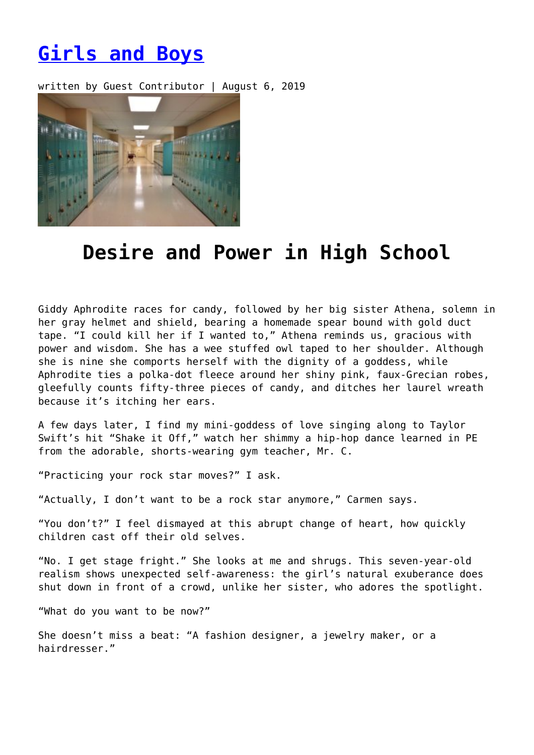## **[Girls and Boys](https://entropymag.org/girls-and-boys/)**

written by Guest Contributor | August 6, 2019



## **Desire and Power in High School**

Giddy Aphrodite races for candy, followed by her big sister Athena, solemn in her gray helmet and shield, bearing a homemade spear bound with gold duct tape. "I could kill her if I wanted to," Athena reminds us, gracious with power and wisdom. She has a wee stuffed owl taped to her shoulder. Although she is nine she comports herself with the dignity of a goddess, while Aphrodite ties a polka-dot fleece around her shiny pink, faux-Grecian robes, gleefully counts fifty-three pieces of candy, and ditches her laurel wreath because it's itching her ears.

A few days later, I find my mini-goddess of love singing along to Taylor Swift's hit "Shake it Off," watch her shimmy a hip-hop dance learned in PE from the adorable, shorts-wearing gym teacher, Mr. C.

"Practicing your rock star moves?" I ask.

"Actually, I don't want to be a rock star anymore," Carmen says.

"You don't?" I feel dismayed at this abrupt change of heart, how quickly children cast off their old selves.

"No. I get stage fright." She looks at me and shrugs. This seven-year-old realism shows unexpected self-awareness: the girl's natural exuberance does shut down in front of a crowd, unlike her sister, who adores the spotlight.

"What do you want to be now?"

She doesn't miss a beat: "A fashion designer, a jewelry maker, or a hairdresser."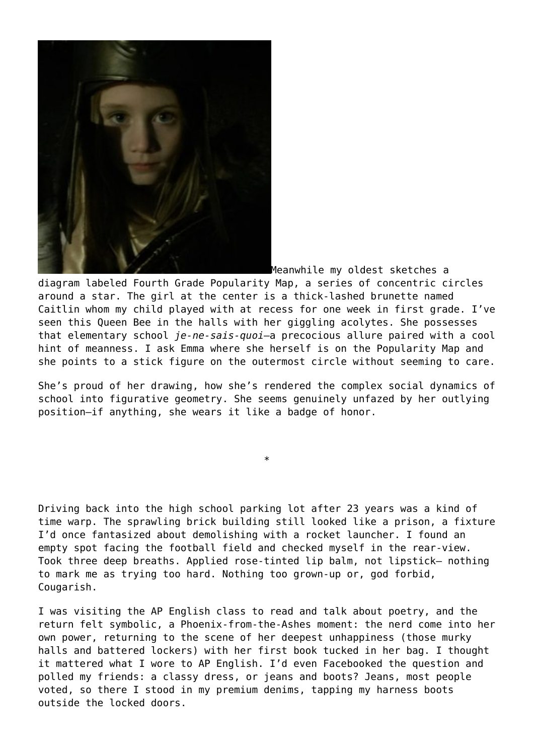

Meanwhile my oldest sketches a

diagram labeled Fourth Grade Popularity Map, a series of concentric circles around a star. The girl at the center is a thick-lashed brunette named Caitlin whom my child played with at recess for one week in first grade. I've seen this Queen Bee in the halls with her giggling acolytes. She possesses that elementary school *je-ne-sais-quoi*—a precocious allure paired with a cool hint of meanness. I ask Emma where she herself is on the Popularity Map and she points to a stick figure on the outermost circle without seeming to care.

She's proud of her drawing, how she's rendered the complex social dynamics of school into figurative geometry. She seems genuinely unfazed by her outlying position—if anything, she wears it like a badge of honor.

\*

Driving back into the high school parking lot after 23 years was a kind of time warp. The sprawling brick building still looked like a prison, a fixture I'd once fantasized about demolishing with a rocket launcher. I found an empty spot facing the football field and checked myself in the rear-view. Took three deep breaths. Applied rose-tinted lip balm, not lipstick— nothing to mark me as trying too hard. Nothing too grown-up or, god forbid, Cougarish.

I was visiting the AP English class to read and talk about poetry, and the return felt symbolic, a Phoenix-from-the-Ashes moment: the nerd come into her own power, returning to the scene of her deepest unhappiness (those murky halls and battered lockers) with her first book tucked in her bag. I thought it mattered what I wore to AP English. I'd even Facebooked the question and polled my friends: a classy dress, or jeans and boots? Jeans, most people voted, so there I stood in my premium denims, tapping my harness boots outside the locked doors.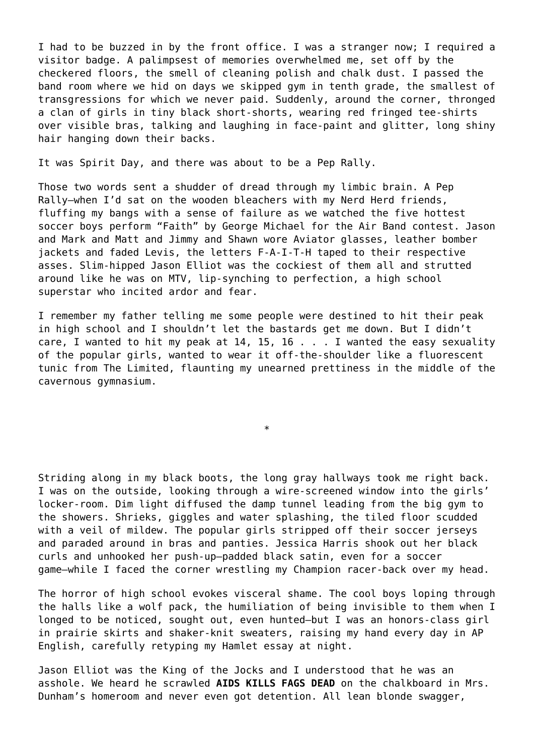I had to be buzzed in by the front office. I was a stranger now; I required a visitor badge. A palimpsest of memories overwhelmed me, set off by the checkered floors, the smell of cleaning polish and chalk dust. I passed the band room where we hid on days we skipped gym in tenth grade, the smallest of transgressions for which we never paid. Suddenly, around the corner, thronged a clan of girls in tiny black short-shorts, wearing red fringed tee-shirts over visible bras, talking and laughing in face-paint and glitter, long shiny hair hanging down their backs.

It was Spirit Day, and there was about to be a Pep Rally.

Those two words sent a shudder of dread through my limbic brain. A Pep Rally—when I'd sat on the wooden bleachers with my Nerd Herd friends, fluffing my bangs with a sense of failure as we watched the five hottest soccer boys perform "Faith" by George Michael for the Air Band contest. Jason and Mark and Matt and Jimmy and Shawn wore Aviator glasses, leather bomber jackets and faded Levis, the letters F-A-I-T-H taped to their respective asses. Slim-hipped Jason Elliot was the cockiest of them all and strutted around like he was on MTV, lip-synching to perfection, a high school superstar who incited ardor and fear.

I remember my father telling me some people were destined to hit their peak in high school and I shouldn't let the bastards get me down. But I didn't care, I wanted to hit my peak at 14, 15, 16 . . . I wanted the easy sexuality of the popular girls, wanted to wear it off-the-shoulder like a fluorescent tunic from The Limited, flaunting my unearned prettiness in the middle of the cavernous gymnasium.

\*

Striding along in my black boots, the long gray hallways took me right back. I was on the outside, looking through a wire-screened window into the girls' locker-room. Dim light diffused the damp tunnel leading from the big gym to the showers. Shrieks, giggles and water splashing, the tiled floor scudded with a veil of mildew. The popular girls stripped off their soccer jerseys and paraded around in bras and panties. Jessica Harris shook out her black curls and unhooked her push-up—padded black satin, even for a soccer game—while I faced the corner wrestling my Champion racer-back over my head.

The horror of high school evokes visceral shame. The cool boys loping through the halls like a wolf pack, the humiliation of being invisible to them when I longed to be noticed, sought out, even hunted—but I was an honors-class girl in prairie skirts and shaker-knit sweaters, raising my hand every day in AP English, carefully retyping my Hamlet essay at night.

Jason Elliot was the King of the Jocks and I understood that he was an asshole. We heard he scrawled **AIDS KILLS FAGS DEAD** on the chalkboard in Mrs. Dunham's homeroom and never even got detention. All lean blonde swagger,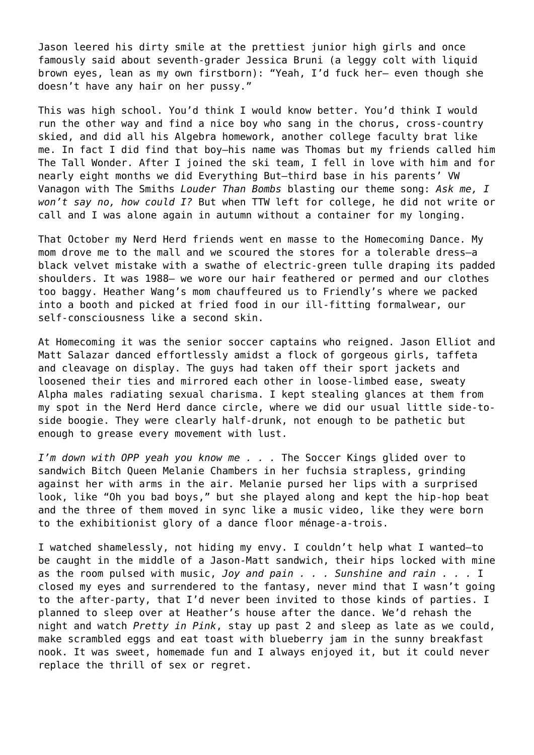Jason leered his dirty smile at the prettiest junior high girls and once famously said about seventh-grader Jessica Bruni (a leggy colt with liquid brown eyes, lean as my own firstborn): "Yeah, I'd fuck her— even though she doesn't have any hair on her pussy."

This was high school. You'd think I would know better. You'd think I would run the other way and find a nice boy who sang in the chorus, cross-country skied, and did all his Algebra homework, another college faculty brat like me. In fact I did find that boy—his name was Thomas but my friends called him The Tall Wonder. After I joined the ski team, I fell in love with him and for nearly eight months we did Everything But—third base in his parents' VW Vanagon with The Smiths *Louder Than Bombs* blasting our theme song: *Ask me, I won't say no, how could I?* But when TTW left for college, he did not write or call and I was alone again in autumn without a container for my longing.

That October my Nerd Herd friends went en masse to the Homecoming Dance. My mom drove me to the mall and we scoured the stores for a tolerable dress—a black velvet mistake with a swathe of electric-green tulle draping its padded shoulders. It was 1988— we wore our hair feathered or permed and our clothes too baggy. Heather Wang's mom chauffeured us to Friendly's where we packed into a booth and picked at fried food in our ill-fitting formalwear, our self-consciousness like a second skin.

At Homecoming it was the senior soccer captains who reigned. Jason Elliot and Matt Salazar danced effortlessly amidst a flock of gorgeous girls, taffeta and cleavage on display. The guys had taken off their sport jackets and loosened their ties and mirrored each other in loose-limbed ease, sweaty Alpha males radiating sexual charisma. I kept stealing glances at them from my spot in the Nerd Herd dance circle, where we did our usual little side-toside boogie. They were clearly half-drunk, not enough to be pathetic but enough to grease every movement with lust.

*I'm down with OPP yeah you know me . . .* The Soccer Kings glided over to sandwich Bitch Queen Melanie Chambers in her fuchsia strapless, grinding against her with arms in the air. Melanie pursed her lips with a surprised look, like "Oh you bad boys," but she played along and kept the hip-hop beat and the three of them moved in sync like a music video, like they were born to the exhibitionist glory of a dance floor ménage-a-trois.

I watched shamelessly, not hiding my envy. I couldn't help what I wanted—to be caught in the middle of a Jason-Matt sandwich, their hips locked with mine as the room pulsed with music, *Joy and pain . . . Sunshine and rain . . .* I closed my eyes and surrendered to the fantasy, never mind that I wasn't going to the after-party, that I'd never been invited to those kinds of parties. I planned to sleep over at Heather's house after the dance. We'd rehash the night and watch *Pretty in Pink*, stay up past 2 and sleep as late as we could, make scrambled eggs and eat toast with blueberry jam in the sunny breakfast nook. It was sweet, homemade fun and I always enjoyed it, but it could never replace the thrill of sex or regret.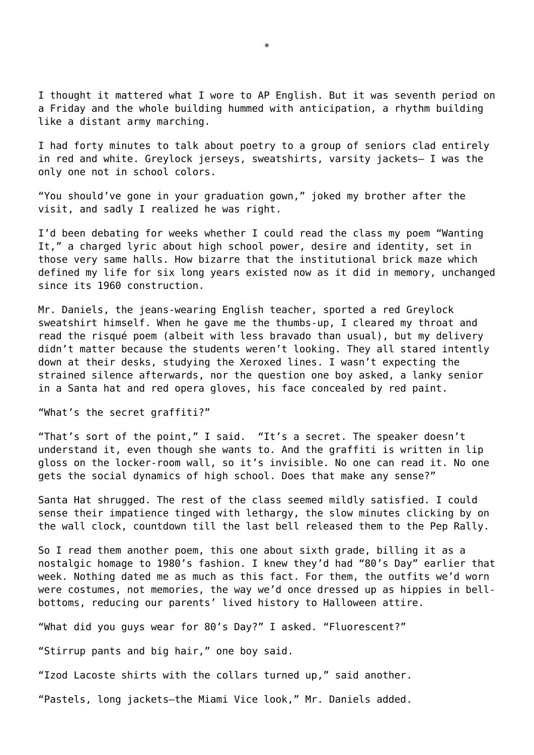I thought it mattered what I wore to AP English. But it was seventh period on a Friday and the whole building hummed with anticipation, a rhythm building like a distant army marching.

I had forty minutes to talk about poetry to a group of seniors clad entirely in red and white. Greylock jerseys, sweatshirts, varsity jackets— I was the only one not in school colors.

"You should've gone in your graduation gown," joked my brother after the visit, and sadly I realized he was right.

I'd been debating for weeks whether I could read the class my poem "Wanting It," a charged lyric about high school power, desire and identity, set in those very same halls. How bizarre that the institutional brick maze which defined my life for six long years existed now as it did in memory, unchanged since its 1960 construction.

Mr. Daniels, the jeans-wearing English teacher, sported a red Greylock sweatshirt himself. When he gave me the thumbs-up, I cleared my throat and read the risqué poem (albeit with less bravado than usual), but my delivery didn't matter because the students weren't looking. They all stared intently down at their desks, studying the Xeroxed lines. I wasn't expecting the strained silence afterwards, nor the question one boy asked, a lanky senior in a Santa hat and red opera gloves, his face concealed by red paint.

"What's the secret graffiti?"

"That's sort of the point," I said. "It's a secret. The speaker doesn't understand it, even though she wants to. And the graffiti is written in lip gloss on the locker-room wall, so it's invisible. No one can read it. No one gets the social dynamics of high school. Does that make any sense?"

Santa Hat shrugged. The rest of the class seemed mildly satisfied. I could sense their impatience tinged with lethargy, the slow minutes clicking by on the wall clock, countdown till the last bell released them to the Pep Rally.

So I read them another poem, this one about sixth grade, billing it as a nostalgic homage to 1980's fashion. I knew they'd had "80's Day" earlier that week. Nothing dated me as much as this fact. For them, the outfits we'd worn were costumes, not memories, the way we'd once dressed up as hippies in bellbottoms, reducing our parents' lived history to Halloween attire.

"What did you guys wear for 80's Day?" I asked. "Fluorescent?"

"Stirrup pants and big hair," one boy said.

"Izod Lacoste shirts with the collars turned up," said another.

"Pastels, long jackets—the Miami Vice look," Mr. Daniels added.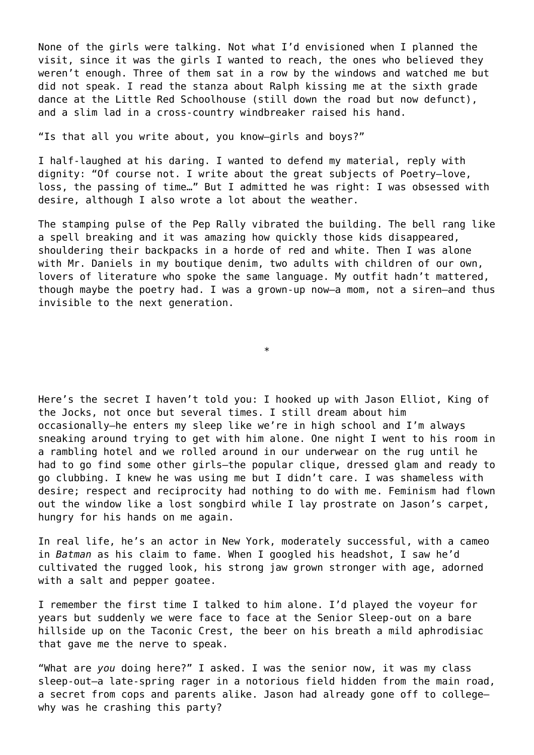None of the girls were talking. Not what I'd envisioned when I planned the visit, since it was the girls I wanted to reach, the ones who believed they weren't enough. Three of them sat in a row by the windows and watched me but did not speak. I read the stanza about Ralph kissing me at the sixth grade dance at the Little Red Schoolhouse (still down the road but now defunct), and a slim lad in a cross-country windbreaker raised his hand.

"Is that all you write about, you know—girls and boys?"

I half-laughed at his daring. I wanted to defend my material, reply with dignity: "Of course not. I write about the great subjects of Poetry—love, loss, the passing of time…" But I admitted he was right: I was obsessed with desire, although I also wrote a lot about the weather.

The stamping pulse of the Pep Rally vibrated the building. The bell rang like a spell breaking and it was amazing how quickly those kids disappeared, shouldering their backpacks in a horde of red and white. Then I was alone with Mr. Daniels in my boutique denim, two adults with children of our own, lovers of literature who spoke the same language. My outfit hadn't mattered, though maybe the poetry had. I was a grown-up now—a mom, not a siren—and thus invisible to the next generation.

\*

Here's the secret I haven't told you: I hooked up with Jason Elliot, King of the Jocks, not once but several times. I still dream about him occasionally—he enters my sleep like we're in high school and I'm always sneaking around trying to get with him alone. One night I went to his room in a rambling hotel and we rolled around in our underwear on the rug until he had to go find some other girls—the popular clique, dressed glam and ready to go clubbing. I knew he was using me but I didn't care. I was shameless with desire; respect and reciprocity had nothing to do with me. Feminism had flown out the window like a lost songbird while I lay prostrate on Jason's carpet, hungry for his hands on me again.

In real life, he's an actor in New York, moderately successful, with a cameo in *Batman* as his claim to fame. When I googled his headshot, I saw he'd cultivated the rugged look, his strong jaw grown stronger with age, adorned with a salt and pepper goatee.

I remember the first time I talked to him alone. I'd played the voyeur for years but suddenly we were face to face at the Senior Sleep-out on a bare hillside up on the Taconic Crest, the beer on his breath a mild aphrodisiac that gave me the nerve to speak.

"What are *you* doing here?" I asked. I was the senior now, it was my class sleep-out—a late-spring rager in a notorious field hidden from the main road, a secret from cops and parents alike. Jason had already gone off to college why was he crashing this party?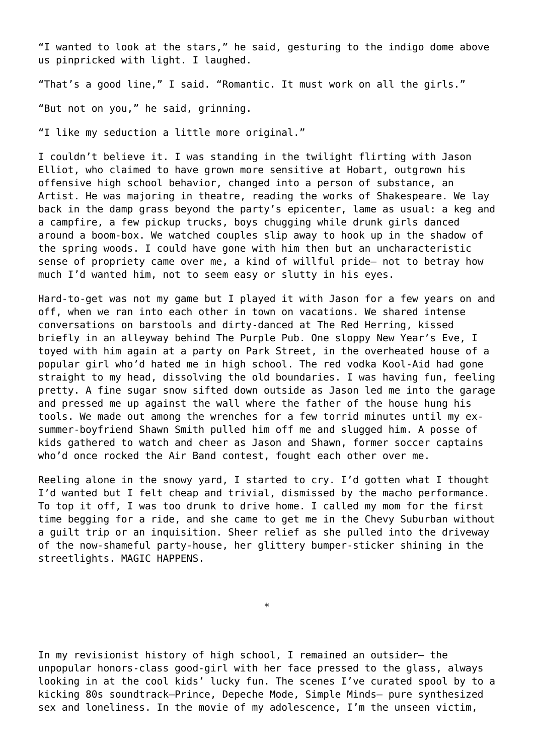"I wanted to look at the stars," he said, gesturing to the indigo dome above us pinpricked with light. I laughed.

"That's a good line," I said. "Romantic. It must work on all the girls."

"But not on you," he said, grinning.

"I like my seduction a little more original."

I couldn't believe it. I was standing in the twilight flirting with Jason Elliot, who claimed to have grown more sensitive at Hobart, outgrown his offensive high school behavior, changed into a person of substance, an Artist. He was majoring in theatre, reading the works of Shakespeare. We lay back in the damp grass beyond the party's epicenter, lame as usual: a keg and a campfire, a few pickup trucks, boys chugging while drunk girls danced around a boom-box. We watched couples slip away to hook up in the shadow of the spring woods. I could have gone with him then but an uncharacteristic sense of propriety came over me, a kind of willful pride— not to betray how much I'd wanted him, not to seem easy or slutty in his eyes.

Hard-to-get was not my game but I played it with Jason for a few years on and off, when we ran into each other in town on vacations. We shared intense conversations on barstools and dirty-danced at The Red Herring, kissed briefly in an alleyway behind The Purple Pub. One sloppy New Year's Eve, I toyed with him again at a party on Park Street, in the overheated house of a popular girl who'd hated me in high school. The red vodka Kool-Aid had gone straight to my head, dissolving the old boundaries. I was having fun, feeling pretty. A fine sugar snow sifted down outside as Jason led me into the garage and pressed me up against the wall where the father of the house hung his tools. We made out among the wrenches for a few torrid minutes until my exsummer-boyfriend Shawn Smith pulled him off me and slugged him. A posse of kids gathered to watch and cheer as Jason and Shawn, former soccer captains who'd once rocked the Air Band contest, fought each other over me.

Reeling alone in the snowy yard, I started to cry. I'd gotten what I thought I'd wanted but I felt cheap and trivial, dismissed by the macho performance. To top it off, I was too drunk to drive home. I called my mom for the first time begging for a ride, and she came to get me in the Chevy Suburban without a guilt trip or an inquisition. Sheer relief as she pulled into the driveway of the now-shameful party-house, her glittery bumper-sticker shining in the streetlights. MAGIC HAPPENS.

In my revisionist history of high school, I remained an outsider— the unpopular honors-class good-girl with her face pressed to the glass, always looking in at the cool kids' lucky fun. The scenes I've curated spool by to a kicking 80s soundtrack—Prince, Depeche Mode, Simple Minds— pure synthesized sex and loneliness. In the movie of my adolescence, I'm the unseen victim,

\*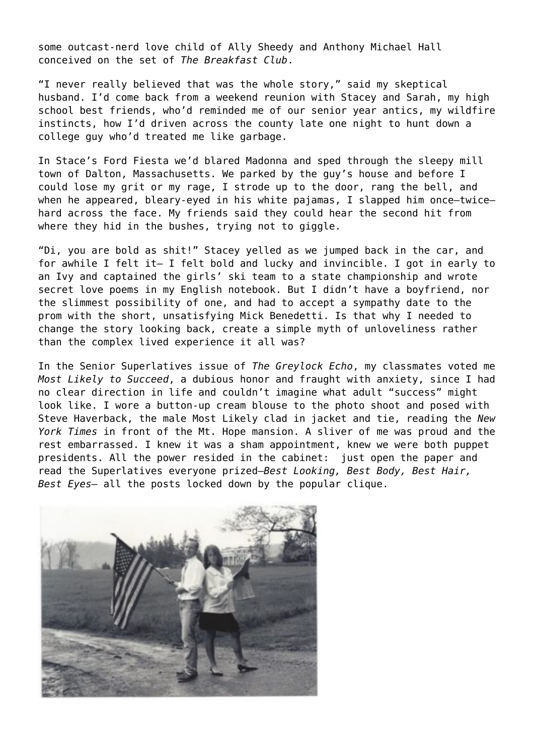some outcast-nerd love child of Ally Sheedy and Anthony Michael Hall conceived on the set of *The Breakfast Club*.

"I never really believed that was the whole story," said my skeptical husband. I'd come back from a weekend reunion with Stacey and Sarah, my high school best friends, who'd reminded me of our senior year antics, my wildfire instincts, how I'd driven across the county late one night to hunt down a college guy who'd treated me like garbage.

In Stace's Ford Fiesta we'd blared Madonna and sped through the sleepy mill town of Dalton, Massachusetts. We parked by the guy's house and before I could lose my grit or my rage, I strode up to the door, rang the bell, and when he appeared, bleary-eyed in his white pajamas, I slapped him once-twicehard across the face. My friends said they could hear the second hit from where they hid in the bushes, trying not to giggle.

"Di, you are bold as shit!" Stacey yelled as we jumped back in the car, and for awhile I felt it— I felt bold and lucky and invincible. I got in early to an Ivy and captained the girls' ski team to a state championship and wrote secret love poems in my English notebook. But I didn't have a boyfriend, nor the slimmest possibility of one, and had to accept a sympathy date to the prom with the short, unsatisfying Mick Benedetti. Is that why I needed to change the story looking back, create a simple myth of unloveliness rather than the complex lived experience it all was?

In the Senior Superlatives issue of *The Greylock Echo*, my classmates voted me *Most Likely to Succeed*, a dubious honor and fraught with anxiety, since I had no clear direction in life and couldn't imagine what adult "success" might look like. I wore a button-up cream blouse to the photo shoot and posed with Steve Haverback, the male Most Likely clad in jacket and tie, reading the *New York Times* in front of the Mt. Hope mansion. A sliver of me was proud and the rest embarrassed. I knew it was a sham appointment, knew we were both puppet presidents. All the power resided in the cabinet: just open the paper and read the Superlatives everyone prized—*Best Looking, Best Body, Best Hair, Best Eyes*— all the posts locked down by the popular clique.

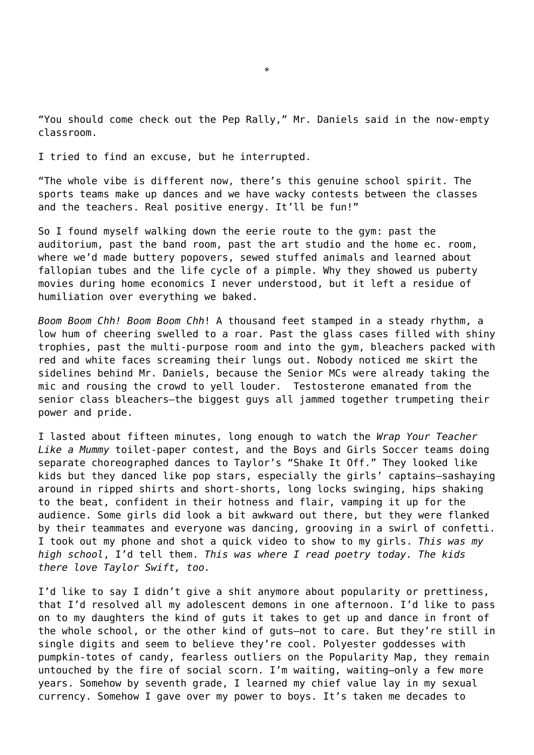"You should come check out the Pep Rally," Mr. Daniels said in the now-empty classroom.

I tried to find an excuse, but he interrupted.

"The whole vibe is different now, there's this genuine school spirit. The sports teams make up dances and we have wacky contests between the classes and the teachers. Real positive energy. It'll be fun!"

So I found myself walking down the eerie route to the gym: past the auditorium, past the band room, past the art studio and the home ec. room, where we'd made buttery popovers, sewed stuffed animals and learned about fallopian tubes and the life cycle of a pimple. Why they showed us puberty movies during home economics I never understood, but it left a residue of humiliation over everything we baked.

*Boom Boom Chh! Boom Boom Chh*! A thousand feet stamped in a steady rhythm, a low hum of cheering swelled to a roar. Past the glass cases filled with shiny trophies, past the multi-purpose room and into the gym, bleachers packed with red and white faces screaming their lungs out. Nobody noticed me skirt the sidelines behind Mr. Daniels, because the Senior MCs were already taking the mic and rousing the crowd to yell louder. Testosterone emanated from the senior class bleachers—the biggest guys all jammed together trumpeting their power and pride.

I lasted about fifteen minutes, long enough to watch the *Wrap Your Teacher Like a Mummy* toilet-paper contest, and the Boys and Girls Soccer teams doing separate choreographed dances to Taylor's "Shake It Off." They looked like kids but they danced like pop stars, especially the girls' captains—sashaying around in ripped shirts and short-shorts, long locks swinging, hips shaking to the beat, confident in their hotness and flair, vamping it up for the audience. Some girls did look a bit awkward out there, but they were flanked by their teammates and everyone was dancing, grooving in a swirl of confetti. I took out my phone and shot a quick video to show to my girls. *This was my high school*, I'd tell them. *This was where I read poetry today. The kids there love Taylor Swift, too.*

I'd like to say I didn't give a shit anymore about popularity or prettiness, that I'd resolved all my adolescent demons in one afternoon. I'd like to pass on to my daughters the kind of guts it takes to get up and dance in front of the whole school, or the other kind of guts—not to care. But they're still in single digits and seem to believe they're cool. Polyester goddesses with pumpkin-totes of candy, fearless outliers on the Popularity Map, they remain untouched by the fire of social scorn. I'm waiting, waiting—only a few more years. Somehow by seventh grade, I learned my chief value lay in my sexual currency. Somehow I gave over my power to boys. It's taken me decades to